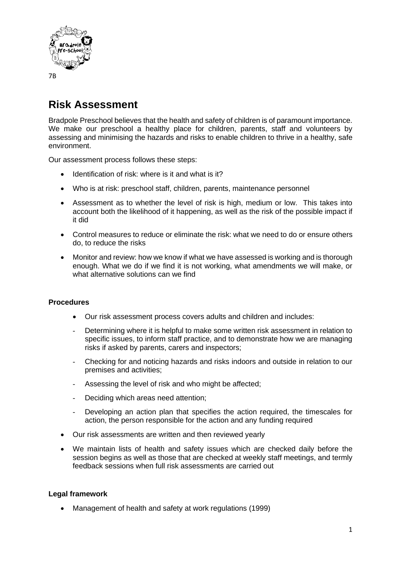

## **Risk Assessment**

Bradpole Preschool believes that the health and safety of children is of paramount importance. We make our preschool a healthy place for children, parents, staff and volunteers by assessing and minimising the hazards and risks to enable children to thrive in a healthy, safe environment.

Our assessment process follows these steps:

- Identification of risk: where is it and what is it?
- Who is at risk: preschool staff, children, parents, maintenance personnel
- Assessment as to whether the level of risk is high, medium or low. This takes into account both the likelihood of it happening, as well as the risk of the possible impact if it did
- Control measures to reduce or eliminate the risk: what we need to do or ensure others do, to reduce the risks
- Monitor and review: how we know if what we have assessed is working and is thorough enough. What we do if we find it is not working, what amendments we will make, or what alternative solutions can we find

## **Procedures**

- Our risk assessment process covers adults and children and includes:
- Determining where it is helpful to make some written risk assessment in relation to specific issues, to inform staff practice, and to demonstrate how we are managing risks if asked by parents, carers and inspectors;
- Checking for and noticing hazards and risks indoors and outside in relation to our premises and activities;
- Assessing the level of risk and who might be affected;
- Deciding which areas need attention;
- Developing an action plan that specifies the action required, the timescales for action, the person responsible for the action and any funding required
- Our risk assessments are written and then reviewed yearly
- We maintain lists of health and safety issues which are checked daily before the session begins as well as those that are checked at weekly staff meetings, and termly feedback sessions when full risk assessments are carried out

## **Legal framework**

• Management of health and safety at work regulations (1999)